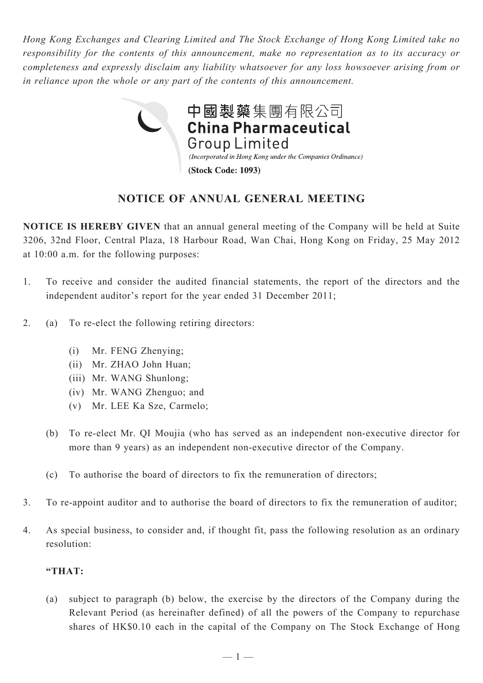*Hong Kong Exchanges and Clearing Limited and The Stock Exchange of Hong Kong Limited take no responsibility for the contents of this announcement, make no representation as to its accuracy or completeness and expressly disclaim any liability whatsoever for any loss howsoever arising from or in reliance upon the whole or any part of the contents of this announcement.*



## **notice of annual general meeting**

**NOTICE IS HEREBY GIVEN** that an annual general meeting of the Company will be held at Suite 3206, 32nd Floor, Central Plaza, 18 Harbour Road, Wan Chai, Hong Kong on Friday, 25 May 2012 at 10:00 a.m. for the following purposes:

- 1. To receive and consider the audited financial statements, the report of the directors and the independent auditor's report for the year ended 31 December 2011;
- 2. (a) To re-elect the following retiring directors:
	- (i) Mr. FENG Zhenying;
	- (ii) Mr. ZHAO John Huan;
	- (iii) Mr. WANG Shunlong;
	- (iv) Mr. WANG Zhenguo; and
	- (v) Mr. LEE Ka Sze, Carmelo;
	- (b) To re-elect Mr. QI Moujia (who has served as an independent non-executive director for more than 9 years) as an independent non-executive director of the Company.
	- (c) To authorise the board of directors to fix the remuneration of directors;
- 3. To re-appoint auditor and to authorise the board of directors to fix the remuneration of auditor;
- 4. As special business, to consider and, if thought fit, pass the following resolution as an ordinary resolution:

## **"THAT:**

(a) subject to paragraph (b) below, the exercise by the directors of the Company during the Relevant Period (as hereinafter defined) of all the powers of the Company to repurchase shares of HK\$0.10 each in the capital of the Company on The Stock Exchange of Hong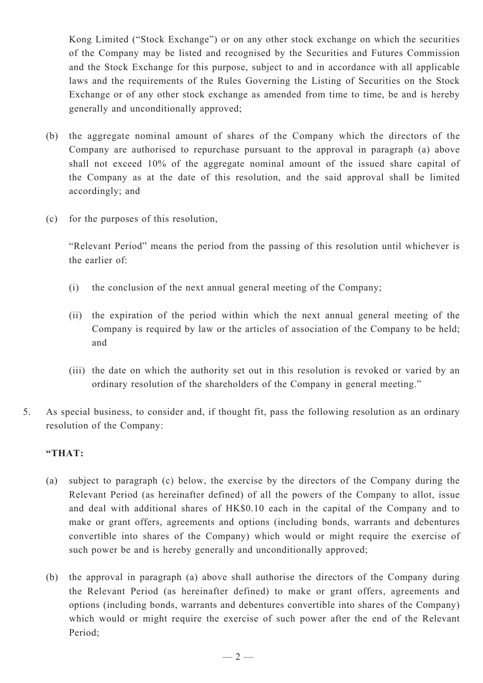Kong Limited ("Stock Exchange") or on any other stock exchange on which the securities of the Company may be listed and recognised by the Securities and Futures Commission and the Stock Exchange for this purpose, subject to and in accordance with all applicable laws and the requirements of the Rules Governing the Listing of Securities on the Stock Exchange or of any other stock exchange as amended from time to time, be and is hereby generally and unconditionally approved;

- (b) the aggregate nominal amount of shares of the Company which the directors of the Company are authorised to repurchase pursuant to the approval in paragraph (a) above shall not exceed 10% of the aggregate nominal amount of the issued share capital of the Company as at the date of this resolution, and the said approval shall be limited accordingly; and
- (c) for the purposes of this resolution,

"Relevant Period" means the period from the passing of this resolution until whichever is the earlier of:

- (i) the conclusion of the next annual general meeting of the Company;
- (ii) the expiration of the period within which the next annual general meeting of the Company is required by law or the articles of association of the Company to be held; and
- (iii) the date on which the authority set out in this resolution is revoked or varied by an ordinary resolution of the shareholders of the Company in general meeting."
- 5. As special business, to consider and, if thought fit, pass the following resolution as an ordinary resolution of the Company:

## **"THAT:**

- (a) subject to paragraph (c) below, the exercise by the directors of the Company during the Relevant Period (as hereinafter defined) of all the powers of the Company to allot, issue and deal with additional shares of HK\$0.10 each in the capital of the Company and to make or grant offers, agreements and options (including bonds, warrants and debentures convertible into shares of the Company) which would or might require the exercise of such power be and is hereby generally and unconditionally approved;
- (b) the approval in paragraph (a) above shall authorise the directors of the Company during the Relevant Period (as hereinafter defined) to make or grant offers, agreements and options (including bonds, warrants and debentures convertible into shares of the Company) which would or might require the exercise of such power after the end of the Relevant Period;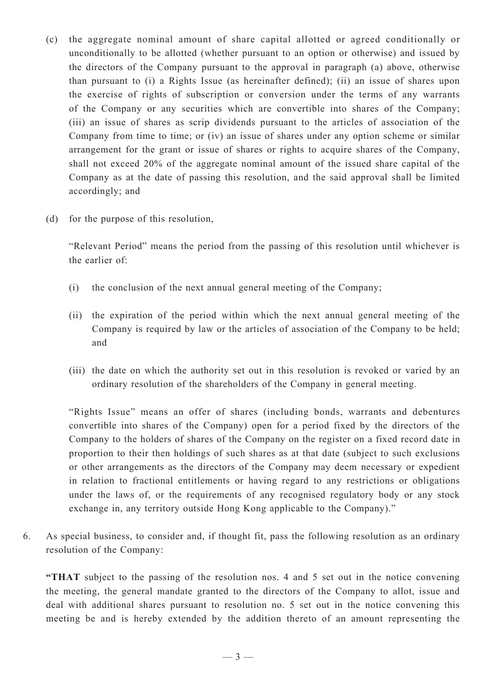- (c) the aggregate nominal amount of share capital allotted or agreed conditionally or unconditionally to be allotted (whether pursuant to an option or otherwise) and issued by the directors of the Company pursuant to the approval in paragraph (a) above, otherwise than pursuant to (i) a Rights Issue (as hereinafter defined); (ii) an issue of shares upon the exercise of rights of subscription or conversion under the terms of any warrants of the Company or any securities which are convertible into shares of the Company; (iii) an issue of shares as scrip dividends pursuant to the articles of association of the Company from time to time; or (iv) an issue of shares under any option scheme or similar arrangement for the grant or issue of shares or rights to acquire shares of the Company, shall not exceed 20% of the aggregate nominal amount of the issued share capital of the Company as at the date of passing this resolution, and the said approval shall be limited accordingly; and
- (d) for the purpose of this resolution,

"Relevant Period" means the period from the passing of this resolution until whichever is the earlier of:

- (i) the conclusion of the next annual general meeting of the Company;
- (ii) the expiration of the period within which the next annual general meeting of the Company is required by law or the articles of association of the Company to be held; and
- (iii) the date on which the authority set out in this resolution is revoked or varied by an ordinary resolution of the shareholders of the Company in general meeting.

"Rights Issue" means an offer of shares (including bonds, warrants and debentures convertible into shares of the Company) open for a period fixed by the directors of the Company to the holders of shares of the Company on the register on a fixed record date in proportion to their then holdings of such shares as at that date (subject to such exclusions or other arrangements as the directors of the Company may deem necessary or expedient in relation to fractional entitlements or having regard to any restrictions or obligations under the laws of, or the requirements of any recognised regulatory body or any stock exchange in, any territory outside Hong Kong applicable to the Company)."

6. As special business, to consider and, if thought fit, pass the following resolution as an ordinary resolution of the Company:

**"THAT** subject to the passing of the resolution nos. 4 and 5 set out in the notice convening the meeting, the general mandate granted to the directors of the Company to allot, issue and deal with additional shares pursuant to resolution no. 5 set out in the notice convening this meeting be and is hereby extended by the addition thereto of an amount representing the